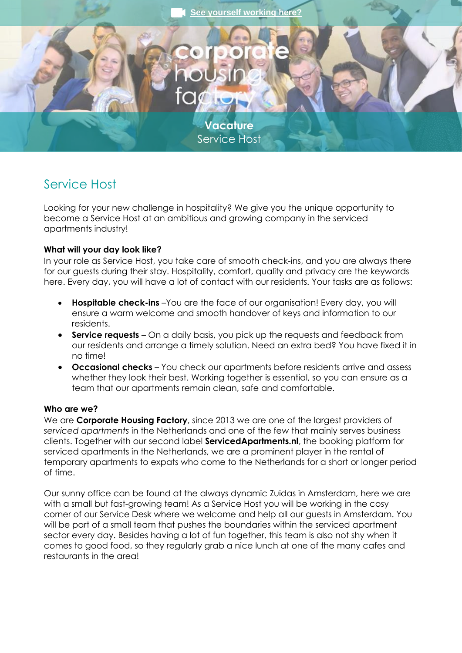

# Service Host

Looking for your new challenge in hospitality? We give you the unique opportunity to become a Service Host at an ambitious and growing company in the serviced apartments industry!

## **What will your day look like?**

In your role as Service Host, you take care of smooth check-ins, and you are always there for our guests during their stay. Hospitality, comfort, quality and privacy are the keywords here. Every day, you will have a lot of contact with our residents. Your tasks are as follows:

- **Hospitable check-ins** –You are the face of our organisation! Every day, you will ensure a warm welcome and smooth handover of keys and information to our residents.
- **Service requests** On a daily basis, you pick up the requests and feedback from our residents and arrange a timely solution. Need an extra bed? You have fixed it in no time!
- **Occasional checks** You check our apartments before residents arrive and assess whether they look their best. Working together is essential, so you can ensure as a team that our apartments remain clean, safe and comfortable.

#### **Who are we?**

We are **Corporate Housing Factory**, since 2013 we are one of the largest providers of *serviced apartments* in the Netherlands and one of the few that mainly serves business clients. Together with our second label **ServicedApartments.nl**, the booking platform for serviced apartments in the Netherlands, we are a prominent player in the rental of temporary apartments to expats who come to the Netherlands for a short or longer period of time.

Our sunny office can be found at the always dynamic Zuidas in Amsterdam, here we are with a small but fast-growing team! As a Service Host you will be working in the cosy corner of our Service Desk where we welcome and help all our guests in Amsterdam. You will be part of a small team that pushes the boundaries within the serviced apartment sector every day. Besides having a lot of fun together, this team is also not shy when it comes to good food, so they regularly grab a nice lunch at one of the many cafes and restaurants in the area!